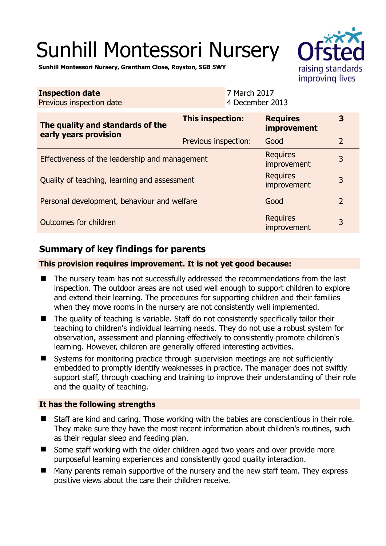# Sunhill Montessori Nursery



**Sunhill Montessori Nursery, Grantham Close, Royston, SG8 5WY** 

| <b>Inspection date</b><br>Previous inspection date        |                         | 7 March 2017<br>4 December 2013 |                                |                |
|-----------------------------------------------------------|-------------------------|---------------------------------|--------------------------------|----------------|
| The quality and standards of the<br>early years provision | <b>This inspection:</b> |                                 | <b>Requires</b><br>improvement | 3              |
|                                                           | Previous inspection:    |                                 | Good                           | $\overline{2}$ |
| Effectiveness of the leadership and management            |                         |                                 | <b>Requires</b><br>improvement | 3              |
| Quality of teaching, learning and assessment              |                         |                                 | <b>Requires</b><br>improvement | 3              |
| Personal development, behaviour and welfare               |                         |                                 | Good                           | $\overline{2}$ |
| Outcomes for children                                     |                         |                                 | <b>Requires</b><br>improvement | 3              |

# **Summary of key findings for parents**

**This provision requires improvement. It is not yet good because:** 

- The nursery team has not successfully addressed the recommendations from the last inspection. The outdoor areas are not used well enough to support children to explore and extend their learning. The procedures for supporting children and their families when they move rooms in the nursery are not consistently well implemented.
- The quality of teaching is variable. Staff do not consistently specifically tailor their teaching to children's individual learning needs. They do not use a robust system for observation, assessment and planning effectively to consistently promote children's learning. However, children are generally offered interesting activities.
- Systems for monitoring practice through supervision meetings are not sufficiently embedded to promptly identify weaknesses in practice. The manager does not swiftly support staff, through coaching and training to improve their understanding of their role and the quality of teaching.

### **It has the following strengths**

- Staff are kind and caring. Those working with the babies are conscientious in their role. They make sure they have the most recent information about children's routines, such as their regular sleep and feeding plan.
- Some staff working with the older children aged two years and over provide more purposeful learning experiences and consistently good quality interaction.
- Many parents remain supportive of the nursery and the new staff team. They express positive views about the care their children receive.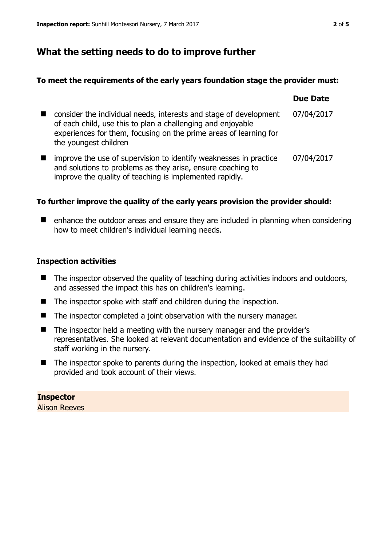# **What the setting needs to do to improve further**

### **To meet the requirements of the early years foundation stage the provider must:**

|                                                                                                                                                                                                                                | <b>Due Date</b> |
|--------------------------------------------------------------------------------------------------------------------------------------------------------------------------------------------------------------------------------|-----------------|
| consider the individual needs, interests and stage of development<br>of each child, use this to plan a challenging and enjoyable<br>experiences for them, focusing on the prime areas of learning for<br>the youngest children | 07/04/2017      |
| improve the use of supervision to identify weaknesses in practice<br>and solutions to problems as they arise, ensure coaching to<br>improve the quality of teaching is implemented rapidly.                                    | 07/04/2017      |

### **To further improve the quality of the early years provision the provider should:**

■ enhance the outdoor areas and ensure they are included in planning when considering how to meet children's individual learning needs.

### **Inspection activities**

- $\blacksquare$  The inspector observed the quality of teaching during activities indoors and outdoors, and assessed the impact this has on children's learning.
- The inspector spoke with staff and children during the inspection.
- The inspector completed a joint observation with the nursery manager.
- The inspector held a meeting with the nursery manager and the provider's representatives. She looked at relevant documentation and evidence of the suitability of staff working in the nursery.
- The inspector spoke to parents during the inspection, looked at emails they had provided and took account of their views.

# **Inspector**

Alison Reeves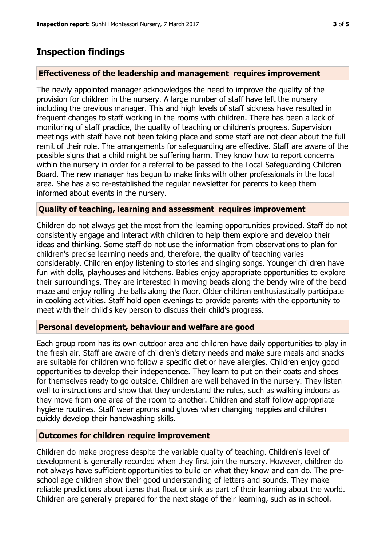### **Inspection findings**

### **Effectiveness of the leadership and management requires improvement**

The newly appointed manager acknowledges the need to improve the quality of the provision for children in the nursery. A large number of staff have left the nursery including the previous manager. This and high levels of staff sickness have resulted in frequent changes to staff working in the rooms with children. There has been a lack of monitoring of staff practice, the quality of teaching or children's progress. Supervision meetings with staff have not been taking place and some staff are not clear about the full remit of their role. The arrangements for safeguarding are effective. Staff are aware of the possible signs that a child might be suffering harm. They know how to report concerns within the nursery in order for a referral to be passed to the Local Safeguarding Children Board. The new manager has begun to make links with other professionals in the local area. She has also re-established the regular newsletter for parents to keep them informed about events in the nursery.

### **Quality of teaching, learning and assessment requires improvement**

Children do not always get the most from the learning opportunities provided. Staff do not consistently engage and interact with children to help them explore and develop their ideas and thinking. Some staff do not use the information from observations to plan for children's precise learning needs and, therefore, the quality of teaching varies considerably. Children enjoy listening to stories and singing songs. Younger children have fun with dolls, playhouses and kitchens. Babies enjoy appropriate opportunities to explore their surroundings. They are interested in moving beads along the bendy wire of the bead maze and enjoy rolling the balls along the floor. Older children enthusiastically participate in cooking activities. Staff hold open evenings to provide parents with the opportunity to meet with their child's key person to discuss their child's progress.

#### **Personal development, behaviour and welfare are good**

Each group room has its own outdoor area and children have daily opportunities to play in the fresh air. Staff are aware of children's dietary needs and make sure meals and snacks are suitable for children who follow a specific diet or have allergies. Children enjoy good opportunities to develop their independence. They learn to put on their coats and shoes for themselves ready to go outside. Children are well behaved in the nursery. They listen well to instructions and show that they understand the rules, such as walking indoors as they move from one area of the room to another. Children and staff follow appropriate hygiene routines. Staff wear aprons and gloves when changing nappies and children quickly develop their handwashing skills.

### **Outcomes for children require improvement**

Children do make progress despite the variable quality of teaching. Children's level of development is generally recorded when they first join the nursery. However, children do not always have sufficient opportunities to build on what they know and can do. The preschool age children show their good understanding of letters and sounds. They make reliable predictions about items that float or sink as part of their learning about the world. Children are generally prepared for the next stage of their learning, such as in school.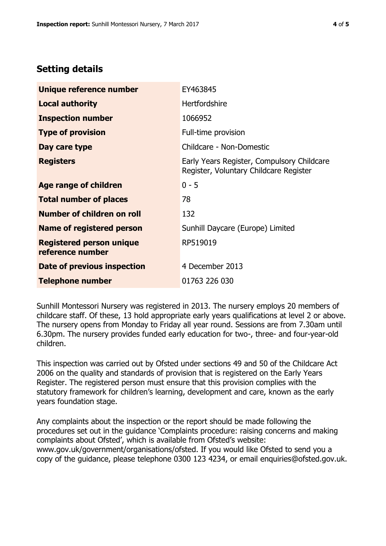## **Setting details**

| Unique reference number                             | EY463845                                                                             |
|-----------------------------------------------------|--------------------------------------------------------------------------------------|
| <b>Local authority</b>                              | <b>Hertfordshire</b>                                                                 |
| <b>Inspection number</b>                            | 1066952                                                                              |
| <b>Type of provision</b>                            | Full-time provision                                                                  |
| Day care type                                       | Childcare - Non-Domestic                                                             |
| <b>Registers</b>                                    | Early Years Register, Compulsory Childcare<br>Register, Voluntary Childcare Register |
| Age range of children                               | $0 - 5$                                                                              |
| <b>Total number of places</b>                       | 78                                                                                   |
| Number of children on roll                          | 132                                                                                  |
| Name of registered person                           | Sunhill Daycare (Europe) Limited                                                     |
| <b>Registered person unique</b><br>reference number | RP519019                                                                             |
| Date of previous inspection                         | 4 December 2013                                                                      |
| <b>Telephone number</b>                             | 01763 226 030                                                                        |

Sunhill Montessori Nursery was registered in 2013. The nursery employs 20 members of childcare staff. Of these, 13 hold appropriate early years qualifications at level 2 or above. The nursery opens from Monday to Friday all year round. Sessions are from 7.30am until 6.30pm. The nursery provides funded early education for two-, three- and four-year-old children.

This inspection was carried out by Ofsted under sections 49 and 50 of the Childcare Act 2006 on the quality and standards of provision that is registered on the Early Years Register. The registered person must ensure that this provision complies with the statutory framework for children's learning, development and care, known as the early years foundation stage.

Any complaints about the inspection or the report should be made following the procedures set out in the guidance 'Complaints procedure: raising concerns and making complaints about Ofsted', which is available from Ofsted's website: www.gov.uk/government/organisations/ofsted. If you would like Ofsted to send you a copy of the guidance, please telephone 0300 123 4234, or email enquiries@ofsted.gov.uk.